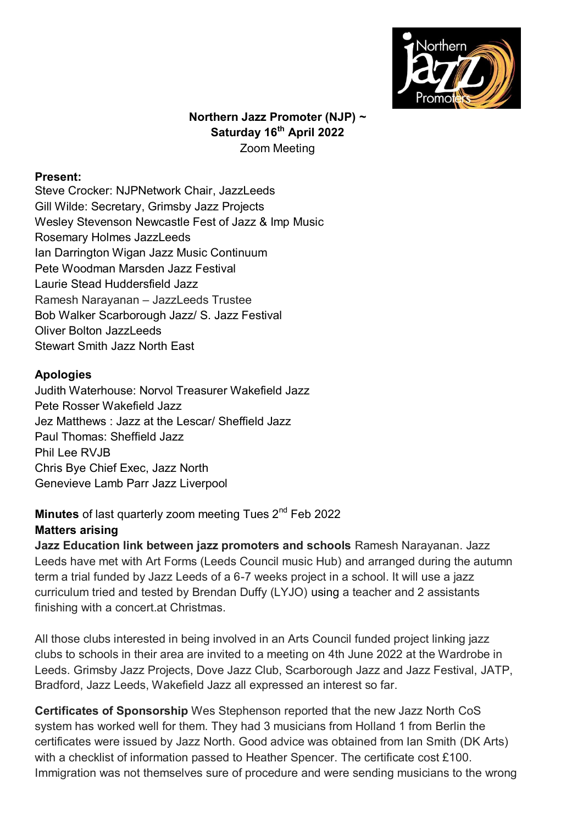

## **Northern Jazz Promoter (NJP) ~ Saturday 16th April 2022** Zoom Meeting

#### **Present:**

Steve Crocker: NJPNetwork Chair, JazzLeeds Gill Wilde: Secretary, Grimsby Jazz Projects Wesley Stevenson Newcastle Fest of Jazz & Imp Music Rosemary Holmes JazzLeeds Ian Darrington Wigan Jazz Music Continuum Pete Woodman Marsden Jazz Festival Laurie Stead Huddersfield Jazz Ramesh Narayanan – JazzLeeds Trustee Bob Walker Scarborough Jazz/ S. Jazz Festival Oliver Bolton Jazzl eeds Stewart Smith Jazz North East

## **Apologies**

Judith Waterhouse: Norvol Treasurer Wakefield Jazz Pete Rosser Wakefield Jazz Jez Matthews : Jazz at the Lescar/ Sheffield Jazz Paul Thomas: Sheffield Jazz Phil Lee RVJB Chris Bye Chief Exec, Jazz North Genevieve Lamb Parr Jazz Liverpool

# **Minutes** of last quarterly zoom meeting Tues 2<sup>nd</sup> Feb 2022

## **Matters arising**

**Jazz Education link between jazz promoters and schools** Ramesh Narayanan. Jazz Leeds have met with Art Forms (Leeds Council music Hub) and arranged during the autumn term a trial funded by Jazz Leeds of a 6-7 weeks project in a school. It will use a jazz curriculum tried and tested by Brendan Duffy (LYJO) using a teacher and 2 assistants finishing with a concert.at Christmas.

All those clubs interested in being involved in an Arts Council funded project linking jazz clubs to schools in their area are invited to a meeting on 4th June 2022 at the Wardrobe in Leeds. Grimsby Jazz Projects, Dove Jazz Club, Scarborough Jazz and Jazz Festival, JATP, Bradford, Jazz Leeds, Wakefield Jazz all expressed an interest so far.

**Certificates of Sponsorship** Wes Stephenson reported that the new Jazz North CoS system has worked well for them. They had 3 musicians from Holland 1 from Berlin the certificates were issued by Jazz North. Good advice was obtained from Ian Smith (DK Arts) with a checklist of information passed to Heather Spencer. The certificate cost £100. Immigration was not themselves sure of procedure and were sending musicians to the wrong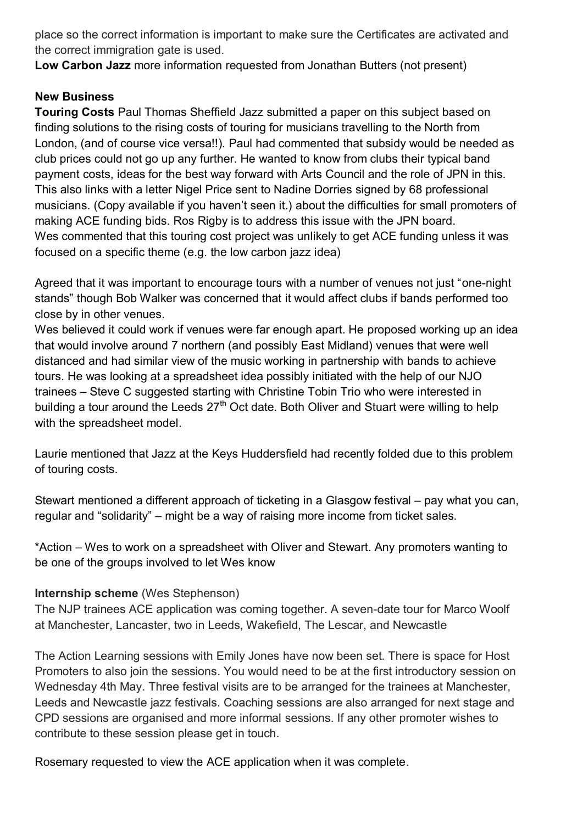place so the correct information is important to make sure the Certificates are activated and the correct immigration gate is used.

**Low Carbon Jazz** more information requested from Jonathan Butters (not present)

# **New Business**

**Touring Costs** Paul Thomas Sheffield Jazz submitted a paper on this subject based on finding solutions to the rising costs of touring for musicians travelling to the North from London, (and of course vice versa!!). Paul had commented that subsidy would be needed as club prices could not go up any further. He wanted to know from clubs their typical band payment costs, ideas for the best way forward with Arts Council and the role of JPN in this. This also links with a letter Nigel Price sent to Nadine Dorries signed by 68 professional musicians. (Copy available if you haven't seen it.) about the difficulties for small promoters of making ACE funding bids. Ros Rigby is to address this issue with the JPN board. Wes commented that this touring cost project was unlikely to get ACE funding unless it was focused on a specific theme (e.g. the low carbon jazz idea)

Agreed that it was important to encourage tours with a number of venues not just "one-night stands" though Bob Walker was concerned that it would affect clubs if bands performed too close by in other venues.

Wes believed it could work if venues were far enough apart. He proposed working up an idea that would involve around 7 northern (and possibly East Midland) venues that were well distanced and had similar view of the music working in partnership with bands to achieve tours. He was looking at a spreadsheet idea possibly initiated with the help of our NJO trainees – Steve C suggested starting with Christine Tobin Trio who were interested in building a tour around the Leeds  $27<sup>th</sup>$  Oct date. Both Oliver and Stuart were willing to help with the spreadsheet model.

Laurie mentioned that Jazz at the Keys Huddersfield had recently folded due to this problem of touring costs.

Stewart mentioned a different approach of ticketing in a Glasgow festival – pay what you can, regular and "solidarity" – might be a way of raising more income from ticket sales.

\*Action – Wes to work on a spreadsheet with Oliver and Stewart. Any promoters wanting to be one of the groups involved to let Wes know

# **Internship scheme** (Wes Stephenson)

The NJP trainees ACE application was coming together. A seven-date tour for Marco Woolf at Manchester, Lancaster, two in Leeds, Wakefield, The Lescar, and Newcastle

The Action Learning sessions with Emily Jones have now been set. There is space for Host Promoters to also join the sessions. You would need to be at the first introductory session on Wednesday 4th May. Three festival visits are to be arranged for the trainees at Manchester, Leeds and Newcastle jazz festivals. Coaching sessions are also arranged for next stage and CPD sessions are organised and more informal sessions. If any other promoter wishes to contribute to these session please get in touch.

Rosemary requested to view the ACE application when it was complete.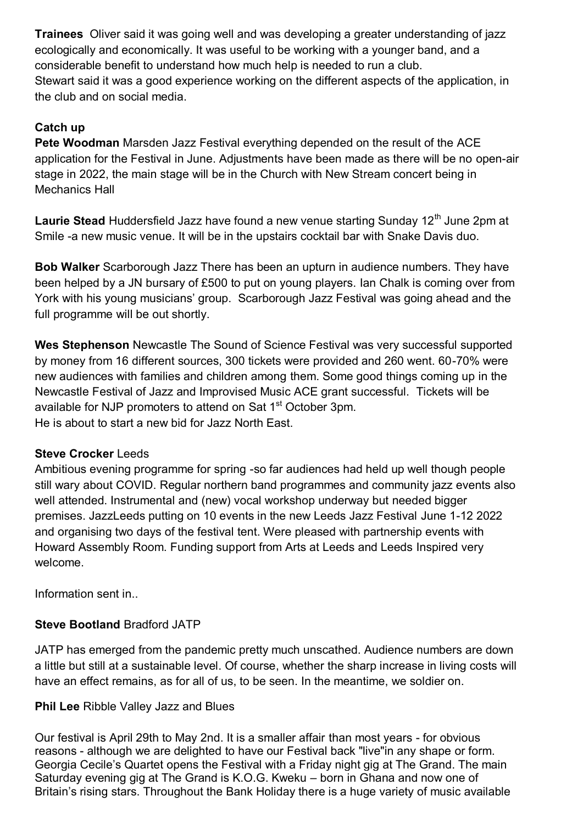**Trainees** Oliver said it was going well and was developing a greater understanding of jazz ecologically and economically. It was useful to be working with a younger band, and a considerable benefit to understand how much help is needed to run a club. Stewart said it was a good experience working on the different aspects of the application, in the club and on social media.

## **Catch up**

**Pete Woodman** Marsden Jazz Festival everything depended on the result of the ACE application for the Festival in June. Adjustments have been made as there will be no open-air stage in 2022, the main stage will be in the Church with New Stream concert being in Mechanics Hall

**Laurie Stead** Huddersfield Jazz have found a new venue starting Sunday 12<sup>th</sup> June 2pm at Smile -a new music venue. It will be in the upstairs cocktail bar with Snake Davis duo.

**Bob Walker** Scarborough Jazz There has been an upturn in audience numbers. They have been helped by a JN bursary of £500 to put on young players. Ian Chalk is coming over from York with his young musicians' group. Scarborough Jazz Festival was going ahead and the full programme will be out shortly.

**Wes Stephenson** Newcastle The Sound of Science Festival was very successful supported by money from 16 different sources, 300 tickets were provided and 260 went. 60-70% were new audiences with families and children among them. Some good things coming up in the Newcastle Festival of Jazz and Improvised Music ACE grant successful. Tickets will be available for NJP promoters to attend on Sat 1<sup>st</sup> October 3pm. He is about to start a new bid for Jazz North East.

## **Steve Crocker** Leeds

Ambitious evening programme for spring -so far audiences had held up well though people still wary about COVID. Regular northern band programmes and community jazz events also well attended. Instrumental and (new) vocal workshop underway but needed bigger premises. JazzLeeds putting on 10 events in the new Leeds Jazz Festival June 1-12 2022 and organising two days of the festival tent. Were pleased with partnership events with Howard Assembly Room. Funding support from Arts at Leeds and Leeds Inspired very welcome.

Information sent in..

# **Steve Bootland** Bradford JATP

JATP has emerged from the pandemic pretty much unscathed. Audience numbers are down a little but still at a sustainable level. Of course, whether the sharp increase in living costs will have an effect remains, as for all of us, to be seen. In the meantime, we soldier on.

## **Phil Lee** Ribble Valley Jazz and Blues

Our festival is April 29th to May 2nd. It is a smaller affair than most years - for obvious reasons - although we are delighted to have our Festival back "live"in any shape or form. Georgia Cecile's Quartet opens the Festival with a Friday night gig at The Grand. The main Saturday evening gig at The Grand is K.O.G. Kweku – born in Ghana and now one of Britain's rising stars. Throughout the Bank Holiday there is a huge variety of music available